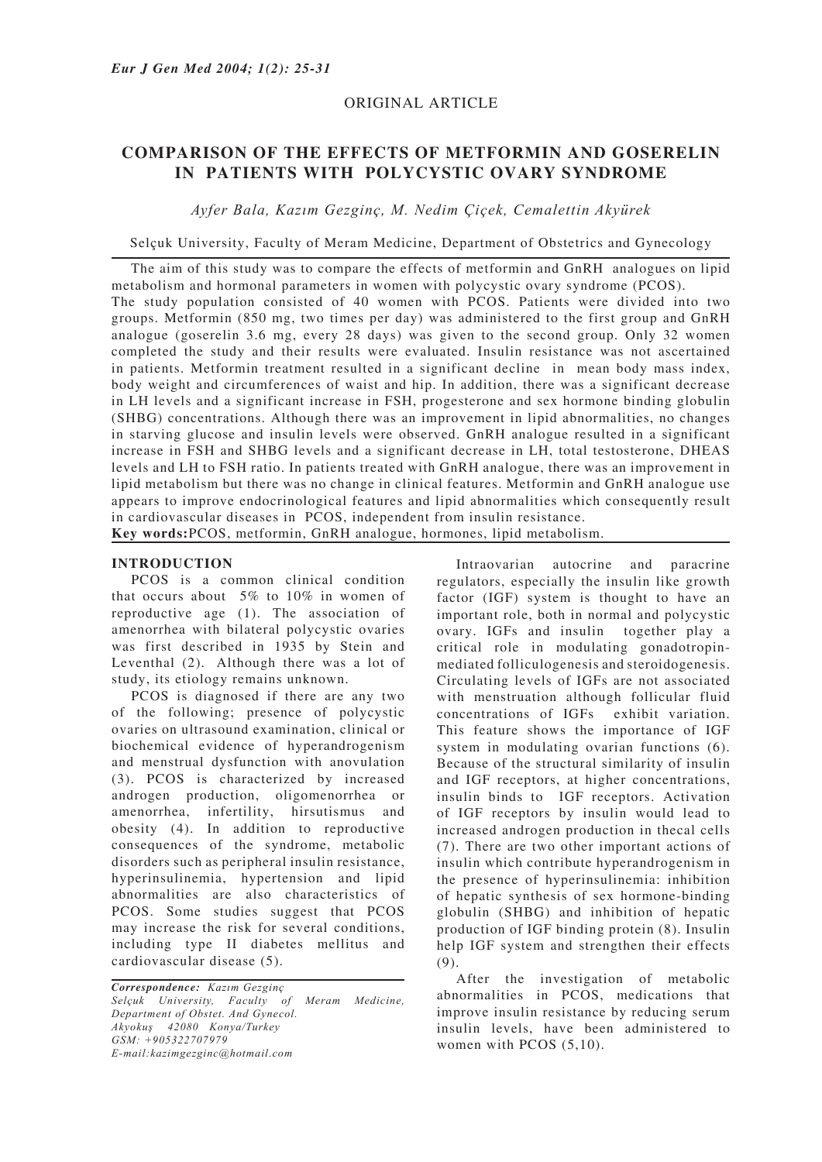# ORIGINAL ARTICLE

# **COMPARISON OF THE EFFECTS OF METFORMIN AND GOSERELIN IN PATIENTS WITH POLYCYSTIC OVARY SYNDROME**

*Ayfer Bala, Kazım Gezginç, M. Nedim Çiçek, Cemalettin Akyürek*

Selçuk University, Faculty of Meram Medicine, Department of Obstetrics and Gynecology

The aim of this study was to compare the effects of metformin and GnRH analogues on lipid metabolism and hormonal parameters in women with polycystic ovary syndrome (PCOS). The study population consisted of 40 women with PCOS. Patients were divided into two groups. Metformin (850 mg, two times per day) was administered to the first group and GnRH analogue (goserelin 3.6 mg, every 28 days) was given to the second group. Only 32 women completed the study and their results were evaluated. Insulin resistance was not ascertained in patients. Metformin treatment resulted in a significant decline in mean body mass index, body weight and circumferences of waist and hip. In addition, there was a significant decrease in LH levels and a significant increase in FSH, progesterone and sex hormone binding globulin (SHBG) concentrations. Although there was an improvement in lipid abnormalities, no changes in starving glucose and insulin levels were observed. GnRH analogue resulted in a significant increase in FSH and SHBG levels and a significant decrease in LH, total testosterone, DHEAS levels and LH to FSH ratio. In patients treated with GnRH analogue, there was an improvement in lipid metabolism but there was no change in clinical features. Metformin and GnRH analogue use appears to improve endocrinological features and lipid abnormalities which consequently result in cardiovascular diseases in PCOS, independent from insulin resistance.

**Key words:**PCOS, metformin, GnRH analogue, hormones, lipid metabolism.

### **INTRODUCTION**

PCOS is a common clinical condition that occurs about 5% to 10% in women of reproductive age (1). The association of amenorrhea with bilateral polycystic ovaries was first described in 1935 by Stein and Leventhal (2). Although there was a lot of study, its etiology remains unknown.

PCOS is diagnosed if there are any two of the following; presence of polycystic ovaries on ultrasound examination, clinical or biochemical evidence of hyperandrogenism and menstrual dysfunction with anovulation (3). PCOS is characterized by increased androgen production, oligomenorrhea or amenorrhea, infertility, hirsutismus and obesity (4). In addition to reproductive consequences of the syndrome, metabolic disorders such as peripheral insulin resistance, hyperinsulinemia, hypertension and lipid abnormalities are also characteristics of PCOS. Some studies suggest that PCOS may increase the risk for several conditions, including type II diabetes mellitus and cardiovascular disease (5).

*Correspondence: Kazım Gezginç Selçuk University, Faculty of Meram Medicine, Department of Obstet. And Gynecol. Akyokuş 42080 Konya/Turkey GSM: +905322707979 E-mail:kazimgezginc@hotmail.com* 

Intraovarian autocrine and paracrine regulators, especially the insulin like growth factor (IGF) system is thought to have an important role, both in normal and polycystic ovary. IGFs and insulin together play a critical role in modulating gonadotropinmediated folliculogenesis and steroidogenesis. Circulating levels of IGFs are not associated with menstruation although follicular fluid concentrations of IGFs exhibit variation. This feature shows the importance of IGF system in modulating ovarian functions (6). Because of the structural similarity of insulin and IGF receptors, at higher concentrations, insulin binds to IGF receptors. Activation of IGF receptors by insulin would lead to increased androgen production in thecal cells (7). There are two other important actions of insulin which contribute hyperandrogenism in the presence of hyperinsulinemia: inhibition of hepatic synthesis of sex hormone-binding globulin (SHBG) and inhibition of hepatic production of IGF binding protein (8). Insulin help IGF system and strengthen their effects (9).

After the investigation of metabolic abnormalities in PCOS, medications that improve insulin resistance by reducing serum insulin levels, have been administered to women with PCOS (5,10).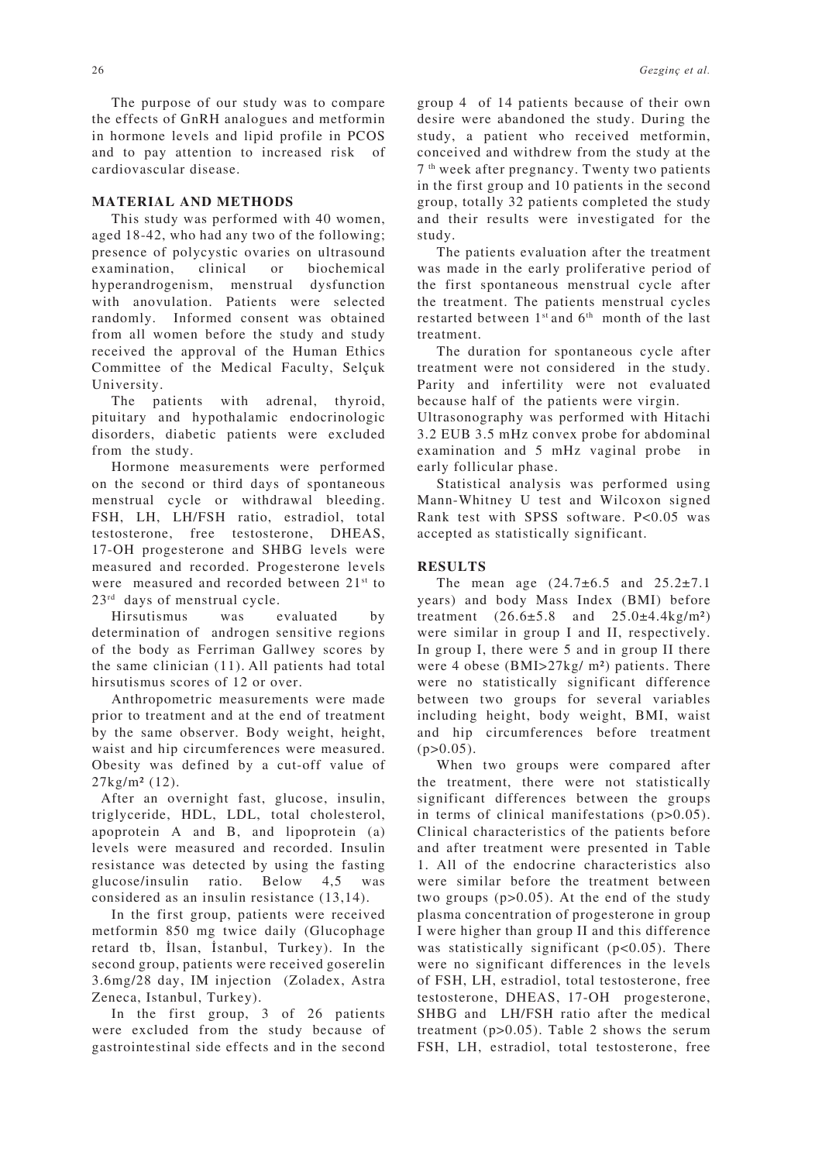The purpose of our study was to compare the effects of GnRH analogues and metformin in hormone levels and lipid profile in PCOS and to pay attention to increased risk of cardiovascular disease.

### **MATERIAL AND METHODS**

This study was performed with 40 women, aged 18-42, who had any two of the following; presence of polycystic ovaries on ultrasound examination, clinical or biochemical hyperandrogenism, menstrual dysfunction with anovulation. Patients were selected randomly. Informed consent was obtained from all women before the study and study received the approval of the Human Ethics Committee of the Medical Faculty, Selçuk University.

The patients with adrenal, thyroid, pituitary and hypothalamic endocrinologic disorders, diabetic patients were excluded from the study.

Hormone measurements were performed on the second or third days of spontaneous menstrual cycle or withdrawal bleeding. FSH, LH, LH/FSH ratio, estradiol, total testosterone, free testosterone, DHEAS, 17-OH progesterone and SHBG levels were measured and recorded. Progesterone levels were measured and recorded between 21<sup>st</sup> to 23<sup>rd</sup> days of menstrual cycle.

Hirsutismus was evaluated by determination of androgen sensitive regions of the body as Ferriman Gallwey scores by the same clinician (11). All patients had total hirsutismus scores of 12 or over.

Anthropometric measurements were made prior to treatment and at the end of treatment by the same observer. Body weight, height, waist and hip circumferences were measured. Obesity was defined by a cut-off value of 27kg/m² (12).

After an overnight fast, glucose, insulin, triglyceride, HDL, LDL, total cholesterol, apoprotein A and B, and lipoprotein (a) levels were measured and recorded. Insulin resistance was detected by using the fasting glucose/insulin ratio. Below 4,5 was considered as an insulin resistance (13,14).

In the first group, patients were received metformin 850 mg twice daily (Glucophage retard tb, İlsan, İstanbul, Turkey). In the second group, patients were received goserelin 3.6mg/28 day, IM injection (Zoladex, Astra Zeneca, Istanbul, Turkey).

In the first group, 3 of 26 patients were excluded from the study because of gastrointestinal side effects and in the second group 4 of 14 patients because of their own desire were abandoned the study. During the study, a patient who received metformin, conceived and withdrew from the study at the 7 th week after pregnancy. Twenty two patients in the first group and 10 patients in the second group, totally 32 patients completed the study and their results were investigated for the study.

The patients evaluation after the treatment was made in the early proliferative period of the first spontaneous menstrual cycle after the treatment. The patients menstrual cycles restarted between 1<sup>st</sup> and 6<sup>th</sup> month of the last treatment.

The duration for spontaneous cycle after treatment were not considered in the study. Parity and infertility were not evaluated because half of the patients were virgin.

Ultrasonography was performed with Hitachi 3.2 EUB 3.5 mHz convex probe for abdominal examination and 5 mHz vaginal probe in early follicular phase.

Statistical analysis was performed using Mann-Whitney U test and Wilcoxon signed Rank test with SPSS software. P<0.05 was accepted as statistically significant.

## **RESULTS**

The mean age  $(24.7\pm6.5 \text{ and } 25.2\pm7.1)$ years) and body Mass Index (BMI) before treatment  $(26.6 \pm 5.8 \text{ and } 25.0 \pm 4.4 \text{ kg/m}^2)$ were similar in group I and II, respectively. In group I, there were 5 and in group II there were 4 obese (BMI>27kg/ m²) patients. There were no statistically significant difference between two groups for several variables including height, body weight, BMI, waist and hip circumferences before treatment  $(p>0.05)$ .

When two groups were compared after the treatment, there were not statistically significant differences between the groups in terms of clinical manifestations (p>0.05). Clinical characteristics of the patients before and after treatment were presented in Table 1. All of the endocrine characteristics also were similar before the treatment between two groups (p>0.05). At the end of the study plasma concentration of progesterone in group I were higher than group II and this difference was statistically significant (p<0.05). There were no significant differences in the levels of FSH, LH, estradiol, total testosterone, free testosterone, DHEAS, 17-OH progesterone, SHBG and LH/FSH ratio after the medical treatment (p>0.05). Table 2 shows the serum FSH, LH, estradiol, total testosterone, free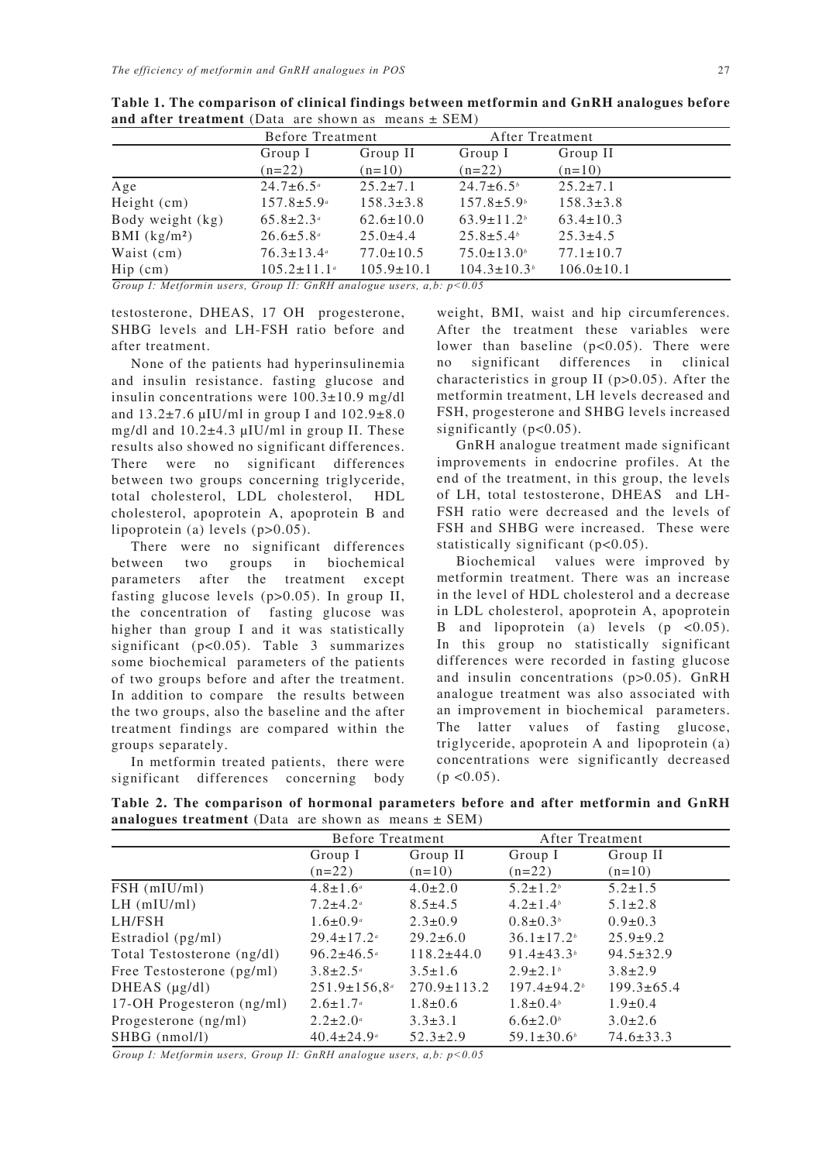|                                                                           | Before Treatment             |                  | After Treatment          |                  |  |  |  |
|---------------------------------------------------------------------------|------------------------------|------------------|--------------------------|------------------|--|--|--|
|                                                                           | Group I                      | Group II         | Group I                  | Group II         |  |  |  |
|                                                                           | $(n=22)$                     | $(n=10)$         | $(n=22)$                 | $(n=10)$         |  |  |  |
| Age                                                                       | $24.7 \pm 6.5^{\circ}$       | $25.2 \pm 7.1$   | $24.7 \pm 6.5^{\circ}$   | $25.2 \pm 7.1$   |  |  |  |
| Height $(cm)$                                                             | $157.8 \pm 5.9^{\circ}$      | $158.3 \pm 3.8$  | $157.8 \pm 5.9$          | $158.3 \pm 3.8$  |  |  |  |
| Body weight (kg)                                                          | $65.8 \pm 2.3^{\circ}$       | $62.6 \pm 10.0$  | $63.9 \pm 11.2$          | $63.4 \pm 10.3$  |  |  |  |
| BMI $(kg/m2)$                                                             | $26.6 \pm 5.8^{\circ}$       | $25.0 \pm 4.4$   | $25.8 \pm 5.4^{\circ}$   | $25.3 \pm 4.5$   |  |  |  |
| Waist (cm)                                                                | $76.3 \pm 13.4$ <sup>a</sup> | $77.0 \pm 10.5$  | $75.0 \pm 13.0^{\circ}$  | $77.1 \pm 10.7$  |  |  |  |
| $\text{Hip}(cm)$                                                          | $105.2 \pm 11.1^{\circ}$     | $105.9 \pm 10.1$ | $104.3 \pm 10.3^{\circ}$ | $106.0 \pm 10.1$ |  |  |  |
| Group I: Metformin users, Group II: GnRH analogue users, $a, b: p < 0.05$ |                              |                  |                          |                  |  |  |  |

**Table 1. The comparison of clinical findings between metformin and GnRH analogues before and after treatment** (Data are shown as means  $\pm$  SEM)

testosterone, DHEAS, 17 OH progesterone, SHBG levels and LH-FSH ratio before and after treatment.

None of the patients had hyperinsulinemia and insulin resistance. fasting glucose and insulin concentrations were 100.3±10.9 mg/dl and  $13.2\pm7.6$  µIU/ml in group I and  $102.9\pm8.0$ mg/dl and 10.2±4.3 µIU/ml in group II. These results also showed no significant differences. There were no significant differences between two groups concerning triglyceride, total cholesterol, LDL cholesterol, HDL cholesterol, apoprotein A, apoprotein B and lipoprotein (a) levels (p>0.05).

There were no significant differences between two groups in biochemical parameters after the treatment except fasting glucose levels (p>0.05). In group II, the concentration of fasting glucose was higher than group I and it was statistically significant (p<0.05). Table 3 summarizes some biochemical parameters of the patients of two groups before and after the treatment. In addition to compare the results between the two groups, also the baseline and the after treatment findings are compared within the groups separately.

In metformin treated patients, there were significant differences concerning body weight, BMI, waist and hip circumferences. After the treatment these variables were lower than baseline (p<0.05). There were no significant differences in clinical characteristics in group II ( $p > 0.05$ ). After the metformin treatment, LH levels decreased and FSH, progesterone and SHBG levels increased significantly (p<0.05).

GnRH analogue treatment made significant improvements in endocrine profiles. At the end of the treatment, in this group, the levels of LH, total testosterone, DHEAS and LH-FSH ratio were decreased and the levels of FSH and SHBG were increased. These were statistically significant  $(p<0.05)$ .

Biochemical values were improved by metformin treatment. There was an increase in the level of HDL cholesterol and a decrease in LDL cholesterol, apoprotein A, apoprotein B and lipoprotein (a) levels  $(p \lt 0.05)$ . In this group no statistically significant differences were recorded in fasting glucose and insulin concentrations (p>0.05). GnRH analogue treatment was also associated with an improvement in biochemical parameters. The latter values of fasting glucose, triglyceride, apoprotein A and lipoprotein (a) concentrations were significantly decreased  $(p \le 0.05)$ .

**Table 2. The comparison of hormonal parameters before and after metformin and GnRH analogues treatment** (Data are shown as means  $\pm$  SEM)

|                            | Before Treatment             |                   | After Treatment              |                  |
|----------------------------|------------------------------|-------------------|------------------------------|------------------|
|                            | Group I                      | Group II          | Group I                      | Group II         |
|                            | $(n=22)$                     | $(n=10)$          | $(n=22)$                     | $(n=10)$         |
| FSH (mIU/ml)               | $4.8 \pm 1.6^a$              | $4.0 \pm 2.0$     | $5.2 \pm 1.2$                | $5.2 \pm 1.5$    |
| $LH$ (mIU/ml)              | $7.2 \pm 4.2^{\circ}$        | $8.5 \pm 4.5$     | $4.2 \pm 1.4$ <sup>b</sup>   | $5.1 \pm 2.8$    |
| LH/FSH                     | $1.6 \pm 0.9^{\circ}$        | $2.3 \pm 0.9$     | $0.8 \pm 0.3^{b}$            | $0.9 \pm 0.3$    |
| Estradiol (pg/ml)          | $29.4 \pm 17.2$ <sup>a</sup> | $29.2 \pm 6.0$    | $36.1 \pm 17.2$ <sup>b</sup> | $25.9 \pm 9.2$   |
| Total Testosterone (ng/dl) | $96.2 \pm 46.5$ <sup>a</sup> | $118.2 \pm 44.0$  | 91.4 $\pm$ 43.3 <sup>b</sup> | $94.5 \pm 32.9$  |
| Free Testosterone (pg/ml)  | $3.8 \pm 2.5^{\circ}$        | $3.5 \pm 1.6$     | $2.9 \pm 2.1^{\circ}$        | $3.8 \pm 2.9$    |
| DHEAS $(\mu g/dl)$         | $251.9 \pm 156.8^{\circ}$    | $270.9 \pm 113.2$ | $197.4 \pm 94.2$             | $199.3 \pm 65.4$ |
| 17-OH Progesteron (ng/ml)  | $2.6 \pm 1.7^{\circ}$        | $1.8 \pm 0.6$     | $1.8 \pm 0.4^b$              | $1.9 \pm 0.4$    |
| Progesterone (ng/ml)       | $2.2 \pm 2.0^{\circ}$        | $3.3 \pm 3.1$     | $6.6 \pm 2.0$                | $3.0 \pm 2.6$    |
| $SHBG$ (nmol/l)            | $40.4 \pm 24.9^{\circ}$      | $52.3 \pm 2.9$    | $59.1 \pm 30.6^{\circ}$      | $74.6 \pm 33.3$  |

*Group I: Metformin users, Group II: GnRH analogue users, a,b: p<0.05*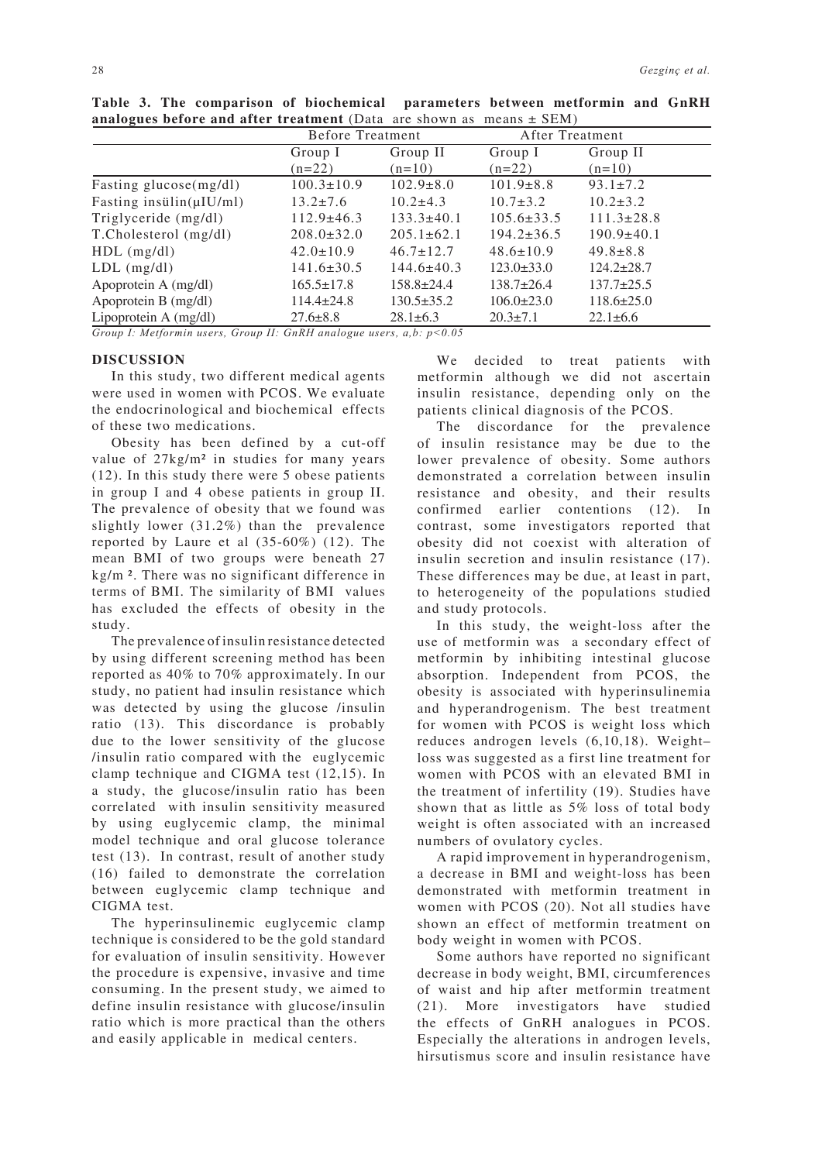|                               | Before Treatment |                  | After Treatment  |                  |
|-------------------------------|------------------|------------------|------------------|------------------|
|                               | Group I          | Group II         | Group I          | Group II         |
|                               | $(n=22)$         | $(n=10)$         | $(n=22)$         | $(n=10)$         |
| Fasting glucose(mg/dl)        | $100.3 \pm 10.9$ | $102.9 \pm 8.0$  | $101.9 \pm 8.8$  | $93.1 \pm 7.2$   |
| Fasting insulin( $\mu$ IU/ml) | $13.2 \pm 7.6$   | $10.2 \pm 4.3$   | $10.7 \pm 3.2$   | $10.2 \pm 3.2$   |
| Triglyceride (mg/dl)          | $112.9 \pm 46.3$ | $133.3 \pm 40.1$ | $105.6 \pm 33.5$ | $111.3 \pm 28.8$ |
| T.Cholesterol (mg/dl)         | $208.0 \pm 32.0$ | $205.1 \pm 62.1$ | $194.2 \pm 36.5$ | $190.9 \pm 40.1$ |
| $HDL$ (mg/dl)                 | $42.0 \pm 10.9$  | $46.7 \pm 12.7$  | $48.6 \pm 10.9$  | $49.8 \pm 8.8$   |
| $LDL$ (mg/dl)                 | $141.6 \pm 30.5$ | $144.6 \pm 40.3$ | $123.0 \pm 33.0$ | $124.2 \pm 28.7$ |
| Apoprotein A (mg/dl)          | $165.5 \pm 17.8$ | $158.8 \pm 24.4$ | $138.7 \pm 26.4$ | $137.7 \pm 25.5$ |
| Apoprotein B (mg/dl)          | $114.4 \pm 24.8$ | $130.5 \pm 35.2$ | $106.0 \pm 23.0$ | $118.6 \pm 25.0$ |
| Lipoprotein A (mg/dl)         | $27.6 \pm 8.8$   | $28.1 \pm 6.3$   | $20.3 \pm 7.1$   | $22.1 \pm 6.6$   |

**Table 3. The comparison of biochemical parameters between metformin and GnRH analogues before and after treatment** (Data are shown as means ± SEM)

*Group I: Metformin users, Group II: GnRH analogue users, a,b: p<0.05* 

#### **DISCUSSION**

In this study, two different medical agents were used in women with PCOS. We evaluate the endocrinological and biochemical effects of these two medications.

Obesity has been defined by a cut-off value of 27kg/m² in studies for many years (12). In this study there were 5 obese patients in group I and 4 obese patients in group II. The prevalence of obesity that we found was slightly lower (31.2%) than the prevalence reported by Laure et al (35-60%) (12). The mean BMI of two groups were beneath 27 kg/m ². There was no significant difference in terms of BMI. The similarity of BMI values has excluded the effects of obesity in the study.

The prevalence of insulin resistance detected by using different screening method has been reported as 40% to 70% approximately. In our study, no patient had insulin resistance which was detected by using the glucose /insulin ratio (13). This discordance is probably due to the lower sensitivity of the glucose /insulin ratio compared with the euglycemic clamp technique and CIGMA test (12,15). In a study, the glucose/insulin ratio has been correlated with insulin sensitivity measured by using euglycemic clamp, the minimal model technique and oral glucose tolerance test (13). In contrast, result of another study (16) failed to demonstrate the correlation between euglycemic clamp technique and CIGMA test.

The hyperinsulinemic euglycemic clamp technique is considered to be the gold standard for evaluation of insulin sensitivity. However the procedure is expensive, invasive and time consuming. In the present study, we aimed to define insulin resistance with glucose/insulin ratio which is more practical than the others and easily applicable in medical centers.

We decided to treat patients with metformin although we did not ascertain insulin resistance, depending only on the patients clinical diagnosis of the PCOS.

The discordance for the prevalence of insulin resistance may be due to the lower prevalence of obesity. Some authors demonstrated a correlation between insulin resistance and obesity, and their results confirmed earlier contentions (12). In contrast, some investigators reported that obesity did not coexist with alteration of insulin secretion and insulin resistance (17). These differences may be due, at least in part, to heterogeneity of the populations studied and study protocols.

In this study, the weight-loss after the use of metformin was a secondary effect of metformin by inhibiting intestinal glucose absorption. Independent from PCOS, the obesity is associated with hyperinsulinemia and hyperandrogenism. The best treatment for women with PCOS is weight loss which reduces androgen levels (6,10,18). Weight– loss was suggested as a first line treatment for women with PCOS with an elevated BMI in the treatment of infertility (19). Studies have shown that as little as 5% loss of total body weight is often associated with an increased numbers of ovulatory cycles.

A rapid improvement in hyperandrogenism, a decrease in BMI and weight-loss has been demonstrated with metformin treatment in women with PCOS (20). Not all studies have shown an effect of metformin treatment on body weight in women with PCOS.

Some authors have reported no significant decrease in body weight, BMI, circumferences of waist and hip after metformin treatment (21). More investigators have studied the effects of GnRH analogues in PCOS. Especially the alterations in androgen levels, hirsutismus score and insulin resistance have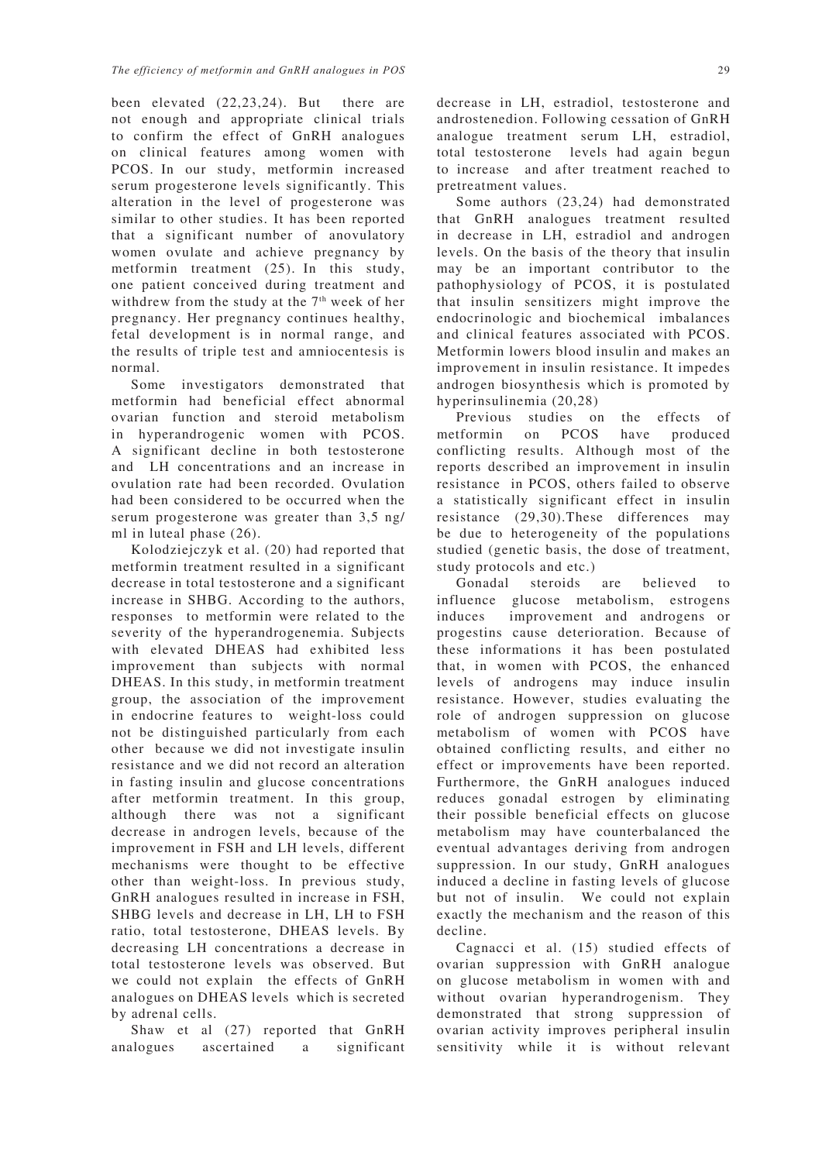been elevated (22,23,24). But there are not enough and appropriate clinical trials to confirm the effect of GnRH analogues on clinical features among women with PCOS. In our study, metformin increased serum progesterone levels significantly. This alteration in the level of progesterone was similar to other studies. It has been reported that a significant number of anovulatory women ovulate and achieve pregnancy by metformin treatment (25). In this study, one patient conceived during treatment and withdrew from the study at the  $7<sup>th</sup>$  week of her pregnancy. Her pregnancy continues healthy, fetal development is in normal range, and the results of triple test and amniocentesis is normal.

Some investigators demonstrated that metformin had beneficial effect abnormal ovarian function and steroid metabolism in hyperandrogenic women with PCOS. A significant decline in both testosterone and LH concentrations and an increase in ovulation rate had been recorded. Ovulation had been considered to be occurred when the serum progesterone was greater than 3,5 ng/ ml in luteal phase (26).

Kolodziejczyk et al. (20) had reported that metformin treatment resulted in a significant decrease in total testosterone and a significant increase in SHBG. According to the authors, responses to metformin were related to the severity of the hyperandrogenemia. Subjects with elevated DHEAS had exhibited less improvement than subjects with normal DHEAS. In this study, in metformin treatment group, the association of the improvement in endocrine features to weight-loss could not be distinguished particularly from each other because we did not investigate insulin resistance and we did not record an alteration in fasting insulin and glucose concentrations after metformin treatment. In this group, although there was not a significant decrease in androgen levels, because of the improvement in FSH and LH levels, different mechanisms were thought to be effective other than weight-loss. In previous study, GnRH analogues resulted in increase in FSH, SHBG levels and decrease in LH, LH to FSH ratio, total testosterone, DHEAS levels. By decreasing LH concentrations a decrease in total testosterone levels was observed. But we could not explain the effects of GnRH analogues on DHEAS levels which is secreted by adrenal cells.

Shaw et al (27) reported that GnRH analogues ascertained a significant decrease in LH, estradiol, testosterone and androstenedion. Following cessation of GnRH analogue treatment serum LH, estradiol, total testosterone levels had again begun to increase and after treatment reached to pretreatment values.

Some authors (23,24) had demonstrated that GnRH analogues treatment resulted in decrease in LH, estradiol and androgen levels. On the basis of the theory that insulin may be an important contributor to the pathophysiology of PCOS, it is postulated that insulin sensitizers might improve the endocrinologic and biochemical imbalances and clinical features associated with PCOS. Metformin lowers blood insulin and makes an improvement in insulin resistance. It impedes androgen biosynthesis which is promoted by hyperinsulinemia (20,28)

Previous studies on the effects of metformin on PCOS have produced conflicting results. Although most of the reports described an improvement in insulin resistance in PCOS, others failed to observe a statistically significant effect in insulin resistance (29,30).These differences may be due to heterogeneity of the populations studied (genetic basis, the dose of treatment, study protocols and etc.)

Gonadal steroids are believed to influence glucose metabolism, estrogens induces improvement and androgens or progestins cause deterioration. Because of these informations it has been postulated that, in women with PCOS, the enhanced levels of androgens may induce insulin resistance. However, studies evaluating the role of androgen suppression on glucose metabolism of women with PCOS have obtained conflicting results, and either no effect or improvements have been reported. Furthermore, the GnRH analogues induced reduces gonadal estrogen by eliminating their possible beneficial effects on glucose metabolism may have counterbalanced the eventual advantages deriving from androgen suppression. In our study, GnRH analogues induced a decline in fasting levels of glucose but not of insulin. We could not explain exactly the mechanism and the reason of this decline.

Cagnacci et al. (15) studied effects of ovarian suppression with GnRH analogue on glucose metabolism in women with and without ovarian hyperandrogenism. They demonstrated that strong suppression of ovarian activity improves peripheral insulin sensitivity while it is without relevant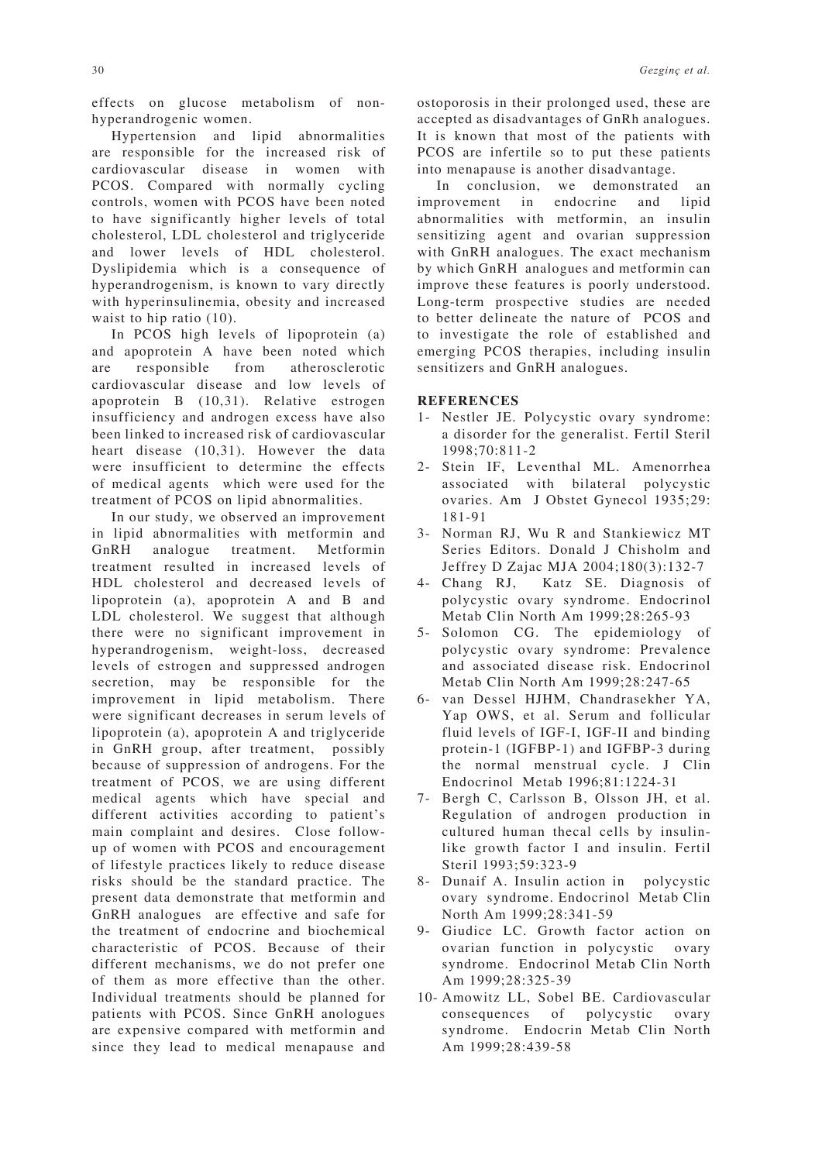effects on glucose metabolism of nonhyperandrogenic women.

Hypertension and lipid abnormalities are responsible for the increased risk of cardiovascular disease in women with PCOS. Compared with normally cycling controls, women with PCOS have been noted to have significantly higher levels of total cholesterol, LDL cholesterol and triglyceride and lower levels of HDL cholesterol. Dyslipidemia which is a consequence of hyperandrogenism, is known to vary directly with hyperinsulinemia, obesity and increased waist to hip ratio (10).

In PCOS high levels of lipoprotein (a) and apoprotein A have been noted which are responsible from atherosclerotic cardiovascular disease and low levels of apoprotein B (10,31). Relative estrogen insufficiency and androgen excess have also been linked to increased risk of cardiovascular heart disease (10,31). However the data were insufficient to determine the effects of medical agents which were used for the treatment of PCOS on lipid abnormalities.

In our study, we observed an improvement in lipid abnormalities with metformin and GnRH analogue treatment. Metformin treatment resulted in increased levels of HDL cholesterol and decreased levels of lipoprotein (a), apoprotein A and B and LDL cholesterol. We suggest that although there were no significant improvement in hyperandrogenism, weight-loss, decreased levels of estrogen and suppressed androgen secretion, may be responsible for the improvement in lipid metabolism. There were significant decreases in serum levels of lipoprotein (a), apoprotein A and triglyceride in GnRH group, after treatment, possibly because of suppression of androgens. For the treatment of PCOS, we are using different medical agents which have special and different activities according to patient's main complaint and desires. Close followup of women with PCOS and encouragement of lifestyle practices likely to reduce disease risks should be the standard practice. The present data demonstrate that metformin and GnRH analogues are effective and safe for the treatment of endocrine and biochemical characteristic of PCOS. Because of their different mechanisms, we do not prefer one of them as more effective than the other. Individual treatments should be planned for patients with PCOS. Since GnRH anologues are expensive compared with metformin and since they lead to medical menapause and

ostoporosis in their prolonged used, these are accepted as disadvantages of GnRh analogues. It is known that most of the patients with PCOS are infertile so to put these patients into menapause is another disadvantage.

In conclusion, we demonstrated an improvement in endocrine and lipid abnormalities with metformin, an insulin sensitizing agent and ovarian suppression with GnRH analogues. The exact mechanism by which GnRH analogues and metformin can improve these features is poorly understood. Long-term prospective studies are needed to better delineate the nature of PCOS and to investigate the role of established and emerging PCOS therapies, including insulin sensitizers and GnRH analogues.

#### **REFERENCES**

- 1- Nestler JE. Polycystic ovary syndrome: a disorder for the generalist. Fertil Steril 1998;70:811-2
- 2- Stein IF, Leventhal ML. Amenorrhea associated with bilateral polycystic ovaries. Am J Obstet Gynecol 1935;29: 181-91
- 3- Norman RJ, Wu R and Stankiewicz MT Series Editors. Donald J Chisholm and Jeffrey D Zajac MJA 2004;180(3):132-7
- 4- Chang RJ, Katz SE. Diagnosis of polycystic ovary syndrome. Endocrinol Metab Clin North Am 1999;28:265-93
- 5- Solomon CG. The epidemiology of polycystic ovary syndrome: Prevalence and associated disease risk. Endocrinol Metab Clin North Am 1999;28:247-65
- 6- van Dessel HJHM, Chandrasekher YA, Yap OWS, et al. Serum and follicular fluid levels of IGF-I, IGF-II and binding protein-1 (IGFBP-1) and IGFBP-3 during the normal menstrual cycle. J Clin Endocrinol Metab 1996;81:1224-31
- 7- Bergh C, Carlsson B, Olsson JH, et al. Regulation of androgen production in cultured human thecal cells by insulinlike growth factor I and insulin. Fertil Steril 1993;59:323-9
- 8- Dunaif A. Insulin action in polycystic ovary syndrome. Endocrinol Metab Clin North Am 1999;28:341-59
- 9- Giudice LC. Growth factor action on ovarian function in polycystic ovary syndrome. Endocrinol Metab Clin North Am 1999;28:325-39
- 10- Amowitz LL, Sobel BE. Cardiovascular consequences of polycystic ovary syndrome. Endocrin Metab Clin North Am 1999;28:439-58